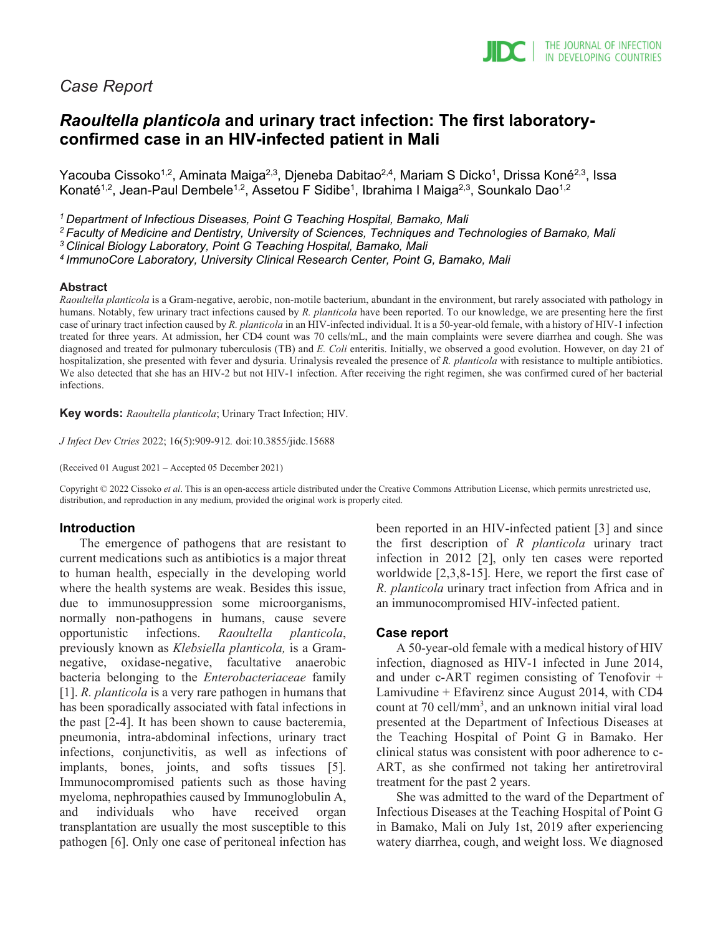# *Case Report*

# *Raoultella planticola* **and urinary tract infection: The first laboratoryconfirmed case in an HIV-infected patient in Mali**

Yacouba Cissoko<sup>1,2</sup>, Aminata Maiga<sup>2,3</sup>, Djeneba Dabitao<sup>2,4</sup>, Mariam S Dicko<sup>1</sup>, Drissa Koné<sup>2,3</sup>, Issa Konaté<sup>1,2</sup>, Jean-Paul Dembele<sup>1,2</sup>, Assetou F Sidibe<sup>1</sup>, Ibrahima I Maiga<sup>2,3</sup>, Sounkalo Dao<sup>1,2</sup>

*1 Department of Infectious Diseases, Point G Teaching Hospital, Bamako, Mali*

*2 Faculty of Medicine and Dentistry, University of Sciences, Techniques and Technologies of Bamako, Mali*

*3 Clinical Biology Laboratory, Point G Teaching Hospital, Bamako, Mali*

*4 ImmunoCore Laboratory, University Clinical Research Center, Point G, Bamako, Mali*

#### **Abstract**

*Raoultella planticola* is a Gram-negative, aerobic, non-motile bacterium, abundant in the environment, but rarely associated with pathology in humans. Notably, few urinary tract infections caused by *R. planticola* have been reported. To our knowledge, we are presenting here the first case of urinary tract infection caused by *R. planticola* in an HIV-infected individual. It is a 50-year-old female, with a history of HIV-1 infection treated for three years. At admission, her CD4 count was 70 cells/mL, and the main complaints were severe diarrhea and cough. She was diagnosed and treated for pulmonary tuberculosis (TB) and *E. Coli* enteritis. Initially, we observed a good evolution. However, on day 21 of hospitalization, she presented with fever and dysuria. Urinalysis revealed the presence of *R. planticola* with resistance to multiple antibiotics. We also detected that she has an HIV-2 but not HIV-1 infection. After receiving the right regimen, she was confirmed cured of her bacterial infections.

**Key words:** *Raoultella planticola*; Urinary Tract Infection; HIV.

*J Infect Dev Ctries* 2022; 16(5):909-912*.* doi:10.3855/jidc.15688

(Received 01 August 2021 – Accepted 05 December 2021)

Copyright © 2022 Cissoko *et al*. This is an open-access article distributed under the Creative Commons Attribution License, which permits unrestricted use, distribution, and reproduction in any medium, provided the original work is properly cited.

### **Introduction**

The emergence of pathogens that are resistant to current medications such as antibiotics is a major threat to human health, especially in the developing world where the health systems are weak. Besides this issue, due to immunosuppression some microorganisms, normally non-pathogens in humans, cause severe opportunistic infections. *Raoultella planticola*, previously known as *Klebsiella planticola,* is a Gramnegative, oxidase-negative, facultative anaerobic bacteria belonging to the *Enterobacteriaceae* family [1]. *R. planticola* is a very rare pathogen in humans that has been sporadically associated with fatal infections in the past [2-4]. It has been shown to cause bacteremia, pneumonia, intra-abdominal infections, urinary tract infections, conjunctivitis, as well as infections of implants, bones, joints, and softs tissues [5]. Immunocompromised patients such as those having myeloma, nephropathies caused by Immunoglobulin A, and individuals who have received organ transplantation are usually the most susceptible to this pathogen [6]. Only one case of peritoneal infection has

been reported in an HIV-infected patient [3] and since the first description of *R planticola* urinary tract infection in 2012 [2], only ten cases were reported worldwide [2,3,8-15]. Here, we report the first case of *R. planticola* urinary tract infection from Africa and in an immunocompromised HIV-infected patient.

### **Case report**

A 50-year-old female with a medical history of HIV infection, diagnosed as HIV-1 infected in June 2014, and under c-ART regimen consisting of Tenofovir + Lamivudine + Efavirenz since August 2014, with CD4 count at 70 cell/mm<sup>3</sup>, and an unknown initial viral load presented at the Department of Infectious Diseases at the Teaching Hospital of Point G in Bamako. Her clinical status was consistent with poor adherence to c-ART, as she confirmed not taking her antiretroviral treatment for the past 2 years.

She was admitted to the ward of the Department of Infectious Diseases at the Teaching Hospital of Point G in Bamako, Mali on July 1st, 2019 after experiencing watery diarrhea, cough, and weight loss. We diagnosed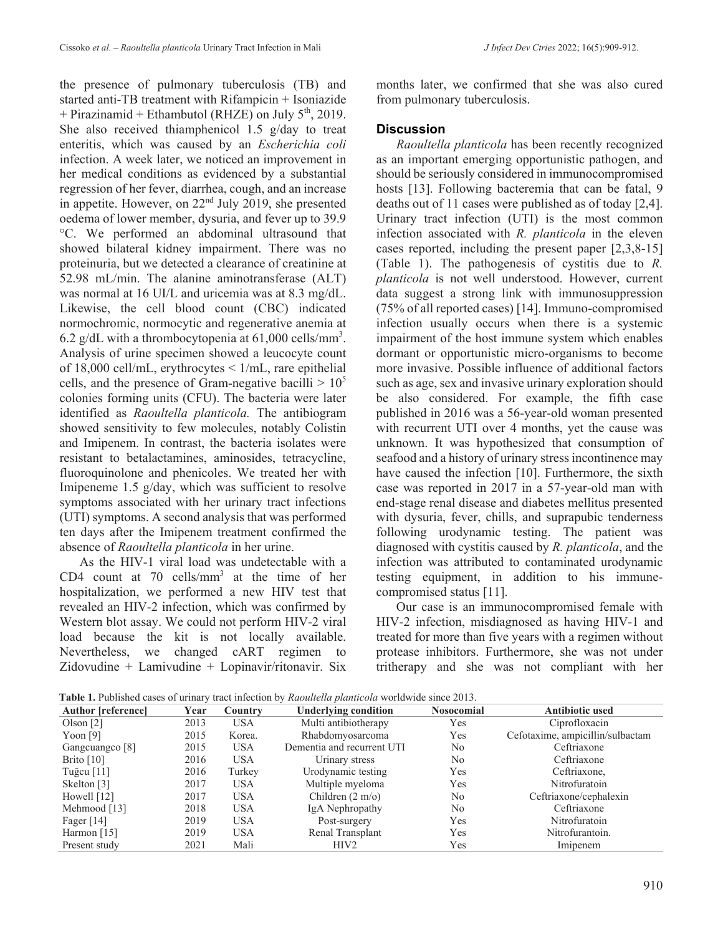the presence of pulmonary tuberculosis (TB) and started anti-TB treatment with Rifampicin + Isoniazide + Pirazinamid + Ethambutol (RHZE) on July  $5<sup>th</sup>$ , 2019. She also received thiamphenicol 1.5 g/day to treat enteritis, which was caused by an *Escherichia coli* infection. A week later, we noticed an improvement in her medical conditions as evidenced by a substantial regression of her fever, diarrhea, cough, and an increase in appetite. However, on 22nd July 2019, she presented oedema of lower member, dysuria, and fever up to 39.9 °C. We performed an abdominal ultrasound that showed bilateral kidney impairment. There was no proteinuria, but we detected a clearance of creatinine at 52.98 mL/min. The alanine aminotransferase (ALT) was normal at 16 UI/L and uricemia was at 8.3 mg/dL. Likewise, the cell blood count (CBC) indicated normochromic, normocytic and regenerative anemia at 6.2 g/dL with a thrombocytopenia at  $61,000$  cells/mm<sup>3</sup>. Analysis of urine specimen showed a leucocyte count of 18,000 cell/mL, erythrocytes < 1/mL, rare epithelial cells, and the presence of Gram-negative bacilli  $> 10^5$ colonies forming units (CFU). The bacteria were later identified as *Raoultella planticola.* The antibiogram showed sensitivity to few molecules, notably Colistin and Imipenem. In contrast, the bacteria isolates were resistant to betalactamines, aminosides, tetracycline, fluoroquinolone and phenicoles. We treated her with Imipeneme 1.5 g/day, which was sufficient to resolve symptoms associated with her urinary tract infections (UTI) symptoms. A second analysis that was performed ten days after the Imipenem treatment confirmed the absence of *Raoultella planticola* in her urine.

As the HIV-1 viral load was undetectable with a CD4 count at 70 cells/mm<sup>3</sup> at the time of her hospitalization, we performed a new HIV test that revealed an HIV-2 infection, which was confirmed by Western blot assay. We could not perform HIV-2 viral load because the kit is not locally available. Nevertheless, we changed cART regimen to Zidovudine + Lamivudine + Lopinavir/ritonavir. Six

months later, we confirmed that she was also cured from pulmonary tuberculosis.

## **Discussion**

*Raoultella planticola* has been recently recognized as an important emerging opportunistic pathogen, and should be seriously considered in immunocompromised hosts [13]. Following bacteremia that can be fatal, 9 deaths out of 11 cases were published as of today [2,4]. Urinary tract infection (UTI) is the most common infection associated with *R. planticola* in the eleven cases reported, including the present paper [2,3,8-15] (Table 1). The pathogenesis of cystitis due to *R. planticola* is not well understood. However, current data suggest a strong link with immunosuppression (75% of all reported cases) [14]. Immuno-compromised infection usually occurs when there is a systemic impairment of the host immune system which enables dormant or opportunistic micro-organisms to become more invasive. Possible influence of additional factors such as age, sex and invasive urinary exploration should be also considered. For example, the fifth case published in 2016 was a 56-year-old woman presented with recurrent UTI over 4 months, yet the cause was unknown. It was hypothesized that consumption of seafood and a history of urinary stress incontinence may have caused the infection [10]. Furthermore, the sixth case was reported in 2017 in a 57-year-old man with end-stage renal disease and diabetes mellitus presented with dysuria, fever, chills, and suprapubic tenderness following urodynamic testing. The patient was diagnosed with cystitis caused by *R. planticola*, and the infection was attributed to contaminated urodynamic testing equipment, in addition to his immunecompromised status [11].

Our case is an immunocompromised female with HIV-2 infection, misdiagnosed as having HIV-1 and treated for more than five years with a regimen without protease inhibitors. Furthermore, she was not under tritherapy and she was not compliant with her

**Table 1.** Published cases of urinary tract infection by *Raoultella planticola* worldwide since 2013.

| <b>rable 1.</b> I donsticulate vases of uriliary tract infection by <i>Kubunema plumicola</i> worldwide since 2013. |      |            |                             |                   |                                  |
|---------------------------------------------------------------------------------------------------------------------|------|------------|-----------------------------|-------------------|----------------------------------|
| <b>Author [reference]</b>                                                                                           | Year | Country    | <b>Underlying condition</b> | <b>Nosocomial</b> | <b>Antibiotic used</b>           |
| Olson $[2]$                                                                                                         | 2013 | <b>USA</b> | Multi antibiotherapy        | Yes               | Ciprofloxacin                    |
| Yoon $[9]$                                                                                                          | 2015 | Korea.     | Rhabdomyosarcoma            | Yes               | Cefotaxime, ampicillin/sulbactam |
| Gangcuangco [8]                                                                                                     | 2015 | <b>USA</b> | Dementia and recurrent UTI  | No                | Ceftriaxone                      |
| Brito $[10]$                                                                                                        | 2016 | <b>USA</b> | Urinary stress              | No.               | Ceftriaxone                      |
| Tuğcu $[11]$                                                                                                        | 2016 | Turkey     | Urodynamic testing          | Yes               | Ceftriaxone,                     |
| Skelton [3]                                                                                                         | 2017 | <b>USA</b> | Multiple myeloma            | Yes               | Nitrofuratoin                    |
| Howell $[12]$                                                                                                       | 2017 | <b>USA</b> | Children $(2 \text{ m/o})$  | No                | Ceftriaxone/cephalexin           |
| Mehmood [13]                                                                                                        | 2018 | <b>USA</b> | IgA Nephropathy             | No                | Ceftriaxone                      |
| Fager $[14]$                                                                                                        | 2019 | <b>USA</b> | Post-surgery                | Yes               | Nitrofuratoin                    |
| Harmon $[15]$                                                                                                       | 2019 | <b>USA</b> | Renal Transplant            | Yes               | Nitrofurantoin.                  |
| Present study                                                                                                       | 2021 | Mali       | HIV <sub>2</sub>            | Yes               | Imipenem                         |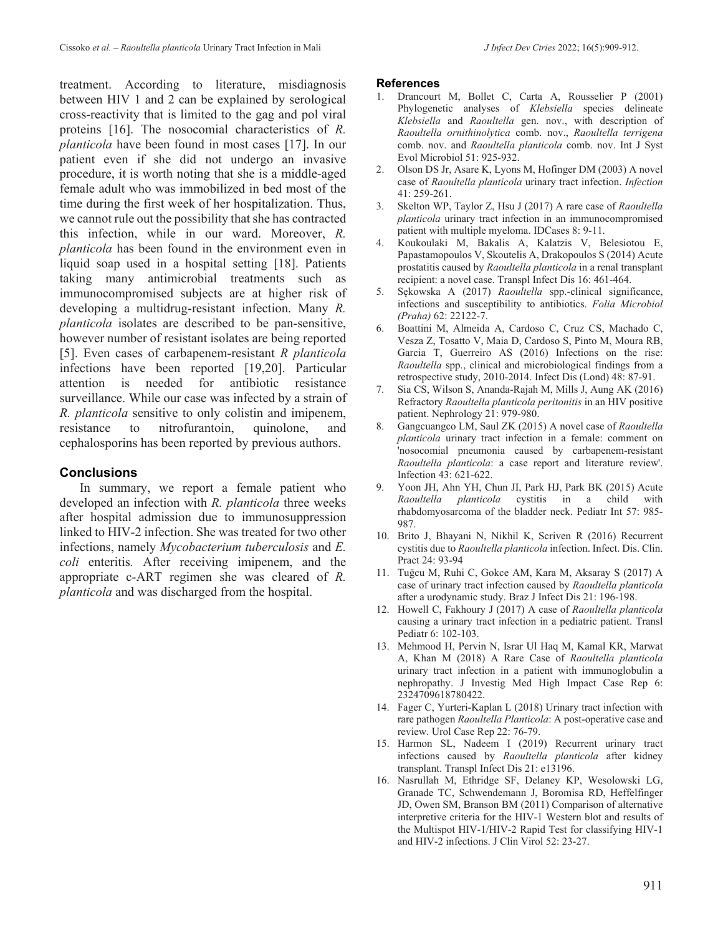treatment. According to literature, misdiagnosis between HIV 1 and 2 can be explained by serological cross-reactivity that is limited to the gag and pol viral proteins [16]. The nosocomial characteristics of *R. planticola* have been found in most cases [17]. In our patient even if she did not undergo an invasive procedure, it is worth noting that she is a middle-aged female adult who was immobilized in bed most of the time during the first week of her hospitalization. Thus, we cannot rule out the possibility that she has contracted this infection, while in our ward. Moreover, *R. planticola* has been found in the environment even in liquid soap used in a hospital setting [18]. Patients taking many antimicrobial treatments such as immunocompromised subjects are at higher risk of developing a multidrug-resistant infection. Many *R. planticola* isolates are described to be pan-sensitive, however number of resistant isolates are being reported [5]. Even cases of carbapenem-resistant *R planticola* infections have been reported [19,20]. Particular attention is needed for antibiotic resistance surveillance. While our case was infected by a strain of *R. planticola* sensitive to only colistin and imipenem, resistance to nitrofurantoin, quinolone, and cephalosporins has been reported by previous authors.

## **Conclusions**

In summary, we report a female patient who developed an infection with *R. planticola* three weeks after hospital admission due to immunosuppression linked to HIV-2 infection. She was treated for two other infections, namely *Mycobacterium tuberculosis* and *E. coli* enteritis*.* After receiving imipenem, and the appropriate c-ART regimen she was cleared of *R. planticola* and was discharged from the hospital.

#### **References**

- 1. Drancourt M, Bollet C, Carta A, Rousselier P (2001) Phylogenetic analyses of *Klebsiella* species delineate *Klebsiella* and *Raoultella* gen. nov., with description of *Raoultella ornithinolytica* comb. nov., *Raoultella terrigena* comb. nov. and *Raoultella planticola* comb. nov. Int J Syst Evol Microbiol 51: 925-932.
- 2. Olson DS Jr, Asare K, Lyons M, Hofinger DM (2003) A novel case of *Raoultella planticola* urinary tract infection. *Infection* 41: 259-261.
- 3. Skelton WP, Taylor Z, Hsu J (2017) A rare case of *Raoultella planticola* urinary tract infection in an immunocompromised patient with multiple myeloma. IDCases 8: 9-11.
- 4. Koukoulaki M, Bakalis A, Kalatzis V, Belesiotou E, Papastamopoulos V, Skoutelis A, Drakopoulos S (2014) Acute prostatitis caused by *Raoultella planticola* in a renal transplant recipient: a novel case. Transpl Infect Dis 16: 461-464.
- 5. Sękowska A (2017) *Raoultella* spp.-clinical significance, infections and susceptibility to antibiotics. *Folia Microbiol (Praha)* 62: 22122-7.
- 6. Boattini M, Almeida A, Cardoso C, Cruz CS, Machado C, Vesza Z, Tosatto V, Maia D, Cardoso S, Pinto M, Moura RB, Garcia T, Guerreiro AS (2016) Infections on the rise: *Raoultella* spp., clinical and microbiological findings from a retrospective study, 2010-2014. Infect Dis (Lond) 48: 87-91.
- 7. Sia CS, Wilson S, Ananda-Rajah M, Mills J, Aung AK (2016) Refractory *Raoultella planticola peritonitis* in an HIV positive patient. Nephrology 21: 979-980.
- 8. Gangcuangco LM, Saul ZK (2015) A novel case of *Raoultella planticola* urinary tract infection in a female: comment on 'nosocomial pneumonia caused by carbapenem-resistant *Raoultella planticola*: a case report and literature review'. Infection 43: 621-622.
- 9. Yoon JH, Ahn YH, Chun JI, Park HJ, Park BK (2015) Acute *Raoultella planticola* cystitis in a child with rhabdomyosarcoma of the bladder neck. Pediatr Int 57: 985- 987.
- 10. Brito J, Bhayani N, Nikhil K, Scriven R (2016) Recurrent cystitis due to *Raoultella planticola* infection. Infect. Dis. Clin. Pract 24: 93-94
- 11. Tuğcu M, Ruhi C, Gokce AM, Kara M, Aksaray S (2017) A case of urinary tract infection caused by *Raoultella planticola*  after a urodynamic study. Braz J Infect Dis 21: 196-198.
- 12. Howell C, Fakhoury J (2017) A case of *Raoultella planticola* causing a urinary tract infection in a pediatric patient. Transl Pediatr 6: 102-103.
- 13. Mehmood H, Pervin N, Israr Ul Haq M, Kamal KR, Marwat A, Khan M (2018) A Rare Case of *Raoultella planticola* urinary tract infection in a patient with immunoglobulin a nephropathy. J Investig Med High Impact Case Rep 6: 2324709618780422.
- 14. Fager C, Yurteri-Kaplan L (2018) Urinary tract infection with rare pathogen *Raoultella Planticola*: A post-operative case and review. Urol Case Rep 22: 76-79.
- 15. Harmon SL, Nadeem I (2019) Recurrent urinary tract infections caused by *Raoultella planticola* after kidney transplant. Transpl Infect Dis 21: e13196.
- 16. Nasrullah M, Ethridge SF, Delaney KP, Wesolowski LG, Granade TC, Schwendemann J, Boromisa RD, Heffelfinger JD, Owen SM, Branson BM (2011) Comparison of alternative interpretive criteria for the HIV-1 Western blot and results of the Multispot HIV-1/HIV-2 Rapid Test for classifying HIV-1 and HIV-2 infections. J Clin Virol 52: 23-27.